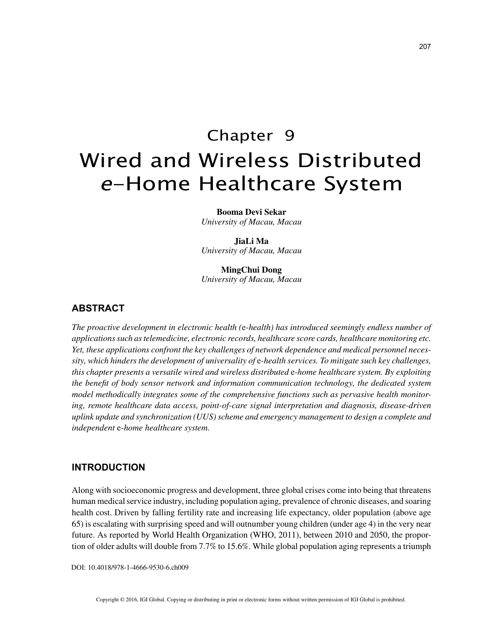# Chapter 9 Wired and Wireless Distributed <sup>e</sup>-Home Healthcare System

**Booma Devi Sekar**

*University of Macau, Macau*

**JiaLi Ma** *University of Macau, Macau*

**MingChui Dong** *University of Macau, Macau*

## **ABSTRACT**

*The proactive development in electronic health (*e*-health) has introduced seemingly endless number of applications such as telemedicine, electronic records, healthcare score cards, healthcare monitoring etc. Yet, these applications confront the key challenges of network dependence and medical personnel necessity, which hinders the development of universality of* e*-health services. To mitigate such key challenges, this chapter presents a versatile wired and wireless distributed* e*-home healthcare system. By exploiting the benefit of body sensor network and information communication technology, the dedicated system model methodically integrates some of the comprehensive functions such as pervasive health monitoring, remote healthcare data access, point-of-care signal interpretation and diagnosis, disease-driven uplink update and synchronization (UUS) scheme and emergency management to design a complete and independent* e*-home healthcare system.*

### **INTRODUCTION**

Along with socioeconomic progress and development, three global crises come into being that threatens human medical service industry, including population aging, prevalence of chronic diseases, and soaring health cost. Driven by falling fertility rate and increasing life expectancy, older population (above age 65) is escalating with surprising speed and will outnumber young children (under age 4) in the very near future. As reported by World Health Organization (WHO, 2011), between 2010 and 2050, the proportion of older adults will double from 7.7% to 15.6%. While global population aging represents a triumph

DOI: 10.4018/978-1-4666-9530-6.ch009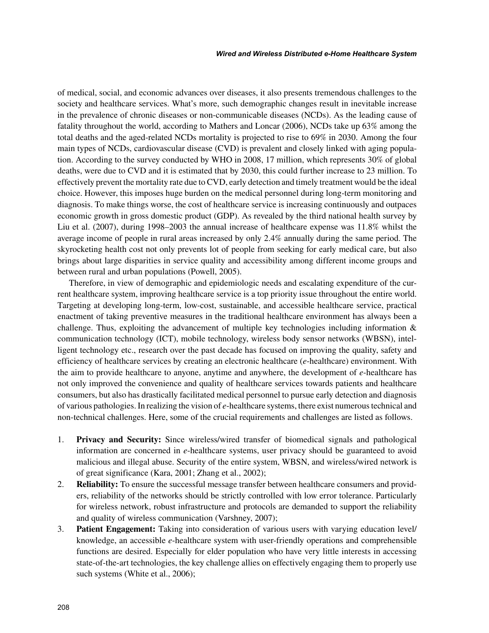of medical, social, and economic advances over diseases, it also presents tremendous challenges to the society and healthcare services. What's more, such demographic changes result in inevitable increase in the prevalence of chronic diseases or non-communicable diseases (NCDs). As the leading cause of fatality throughout the world, according to Mathers and Loncar (2006), NCDs take up 63% among the total deaths and the aged-related NCDs mortality is projected to rise to 69% in 2030. Among the four main types of NCDs, cardiovascular disease (CVD) is prevalent and closely linked with aging population. According to the survey conducted by WHO in 2008, 17 million, which represents 30% of global deaths, were due to CVD and it is estimated that by 2030, this could further increase to 23 million. To effectively prevent the mortality rate due to CVD, early detection and timely treatment would be the ideal choice. However, this imposes huge burden on the medical personnel during long-term monitoring and diagnosis. To make things worse, the cost of healthcare service is increasing continuously and outpaces economic growth in gross domestic product (GDP). As revealed by the third national health survey by Liu et al. (2007), during 1998–2003 the annual increase of healthcare expense was 11.8% whilst the average income of people in rural areas increased by only 2.4% annually during the same period. The skyrocketing health cost not only prevents lot of people from seeking for early medical care, but also brings about large disparities in service quality and accessibility among different income groups and between rural and urban populations (Powell, 2005).

Therefore, in view of demographic and epidemiologic needs and escalating expenditure of the current healthcare system, improving healthcare service is a top priority issue throughout the entire world. Targeting at developing long-term, low-cost, sustainable, and accessible healthcare service, practical enactment of taking preventive measures in the traditional healthcare environment has always been a challenge. Thus, exploiting the advancement of multiple key technologies including information & communication technology (ICT), mobile technology, wireless body sensor networks (WBSN), intelligent technology etc., research over the past decade has focused on improving the quality, safety and efficiency of healthcare services by creating an electronic healthcare (*e*-healthcare) environment. With the aim to provide healthcare to anyone, anytime and anywhere, the development of *e*-healthcare has not only improved the convenience and quality of healthcare services towards patients and healthcare consumers, but also has drastically facilitated medical personnel to pursue early detection and diagnosis of various pathologies. In realizing the vision of *e*-healthcare systems, there exist numerous technical and non-technical challenges. Here, some of the crucial requirements and challenges are listed as follows.

- 1. **Privacy and Security:** Since wireless/wired transfer of biomedical signals and pathological information are concerned in *e*-healthcare systems, user privacy should be guaranteed to avoid malicious and illegal abuse. Security of the entire system, WBSN, and wireless/wired network is of great significance (Kara, 2001; Zhang et al., 2002);
- 2. **Reliability:** To ensure the successful message transfer between healthcare consumers and providers, reliability of the networks should be strictly controlled with low error tolerance. Particularly for wireless network, robust infrastructure and protocols are demanded to support the reliability and quality of wireless communication (Varshney, 2007);
- 3. **Patient Engagement:** Taking into consideration of various users with varying education level/ knowledge, an accessible *e*-healthcare system with user-friendly operations and comprehensible functions are desired. Especially for elder population who have very little interests in accessing state-of-the-art technologies, the key challenge allies on effectively engaging them to properly use such systems (White et al., 2006);